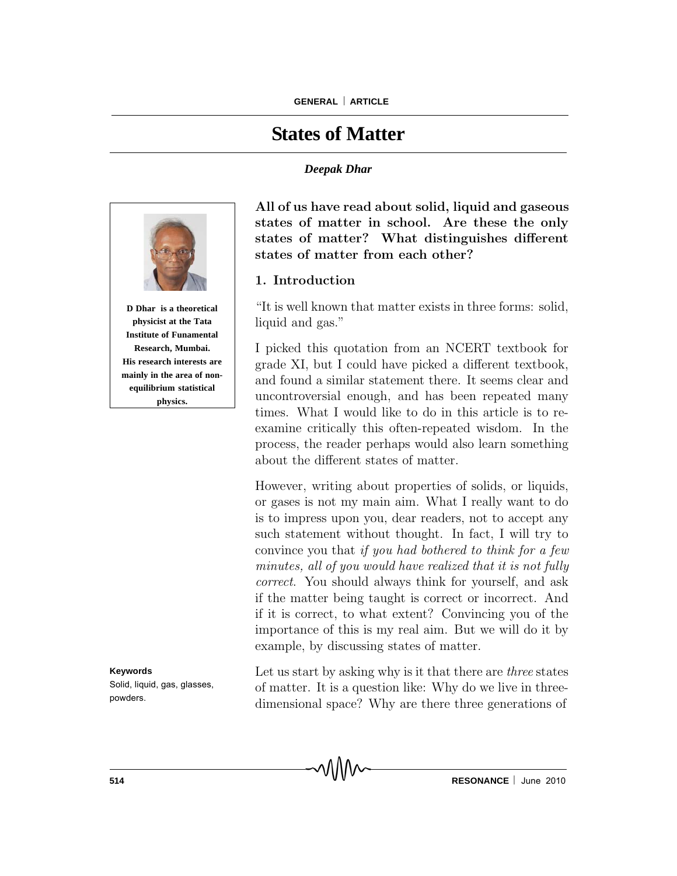# **States of Matter**

#### *Deepak Dhar*



**Institute of Funamental Research, Mumbai. His research interests are mainly in the area of nonequilibrium statistical physics.**

**Keywords** Solid, liquid, gas, glasses, powders.

All of us have read about solid, liquid and gaseous states of matter in school. Are these the only states of matter? What distinguishes different states of matter from each other?

### 1. Introduction

"It is well known that matter exists in three forms: solid, liquid and gas."

I picked this quotation from an NCERT textbook for grade XI, but I could have picked a different textbook, and found a similar statement there. It seems clear and uncontroversial enough, and has been repeated many times. What I would like to do in this article is to reexamine critically this often-repeated wisdom. In the process, the reader perhaps would also learn something about the different states of matter.

However, writing about properties of solids, or liquids, or gases is not my main aim. What I really want to do is to impress upon you, dear readers, not to accept any such statement without thought. In fact, I will try to convince you that if you had bothered to think for a few minutes, all of you would have realized that it is not fully correct. You should always think for yourself, and ask if the matter being taught is correct or incorrect. And if it is correct, to what extent? Convincing you of the importance of this is my real aim. But we will do it by example, by discussing states of matter.

Let us start by asking why is it that there are *three* states of matter. It is a question like: Why do we live in threedimensional space? Why are there three generations of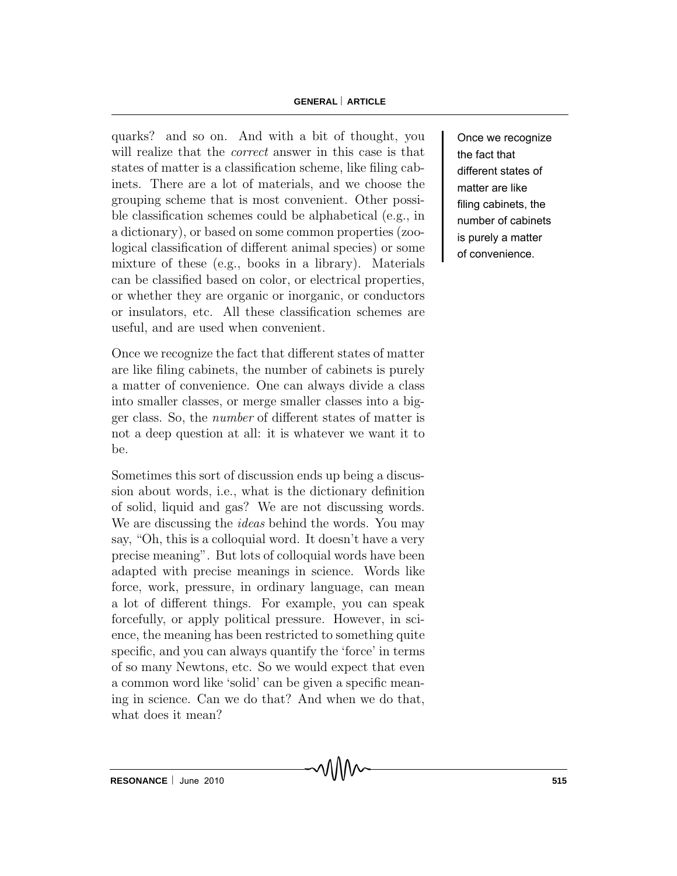#### **GENERAL ARTICLE**

quarks? and so on. And with a bit of thought, you will realize that the *correct* answer in this case is that states of matter is a classification scheme, like filing cabinets. There are a lot of materials, and we choose the grouping scheme that is most convenient. Other possible classification schemes could be alphabetical (e.g., in a dictionary), or based on some common properties (zoological classification of different animal species) or some mixture of these (e.g., books in a library). Materials can be classified based on color, or electrical properties, or whether they are organic or inorganic, or conductors or insulators, etc. All these classification schemes are useful, and are used when convenient.

Once we recognize the fact that different states of matter are like filing cabinets, the number of cabinets is purely a matter of convenience. One can always divide a class into smaller classes, or merge smaller classes into a bigger class. So, the number of different states of matter is not a deep question at all: it is whatever we want it to be.

Sometimes this sort of discussion ends up being a discussion about words, i.e., what is the dictionary definition of solid, liquid and gas? We are not discussing words. We are discussing the ideas behind the words. You may say, "Oh, this is a colloquial word. It doesn't have a very precise meaning". But lots of colloquial words have been adapted with precise meanings in science. Words like force, work, pressure, in ordinary language, can mean a lot of different things. For example, you can speak forcefully, or apply political pressure. However, in science, the meaning has been restricted to something quite specific, and you can always quantify the 'force' in terms of so many Newtons, etc. So we would expect that even a common word like 'solid' can be given a specific meaning in science. Can we do that? And when we do that, what does it mean?

Once we recognize the fact that different states of matter are like filing cabinets, the number of cabinets is purely a matter of convenience.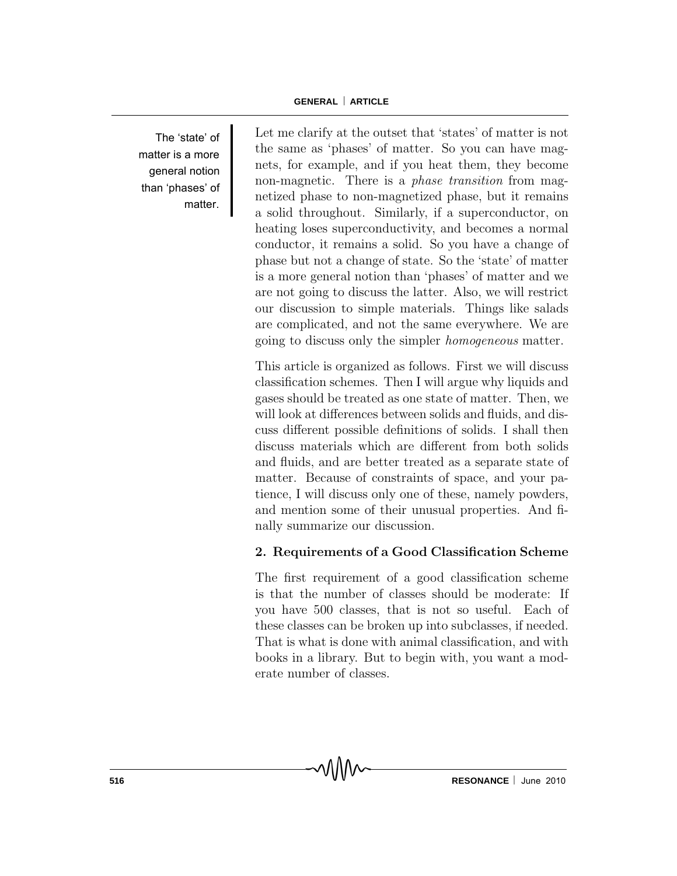The 'state' of matter is a more general notion than 'phases' of matter.

Let me clarify at the outset that 'states' of matter is not the same as 'phases' of matter. So you can have magnets, for example, and if you heat them, they become non-magnetic. There is a *phase transition* from magnetized phase to non-magnetized phase, but it remains a solid throughout. Similarly, if a superconductor, on heating loses superconductivity, and becomes a normal conductor, it remains a solid. So you have a change of phase but not a change of state. So the 'state' of matter is a more general notion than 'phases' of matter and we are not going to discuss the latter. Also, we will restrict our discussion to simple materials. Things like salads are complicated, and not the same everywhere. We are going to discuss only the simpler homogeneous matter.

This article is organized as follows. First we will discuss classification schemes. Then I will argue why liquids and gases should be treated as one state of matter. Then, we will look at differences between solids and fluids, and discuss different possible definitions of solids. I shall then discuss materials which are different from both solids and fluids, and are better treated as a separate state of matter. Because of constraints of space, and your patience, I will discuss only one of these, namely powders, and mention some of their unusual properties. And finally summarize our discussion.

## 2. Requirements of a Good Classification Scheme

The first requirement of a good classification scheme is that the number of classes should be moderate: If you have 500 classes, that is not so useful. Each of these classes can be broken up into subclasses, if needed. That is what is done with animal classification, and with books in a library. But to begin with, you want a moderate number of classes.

MMM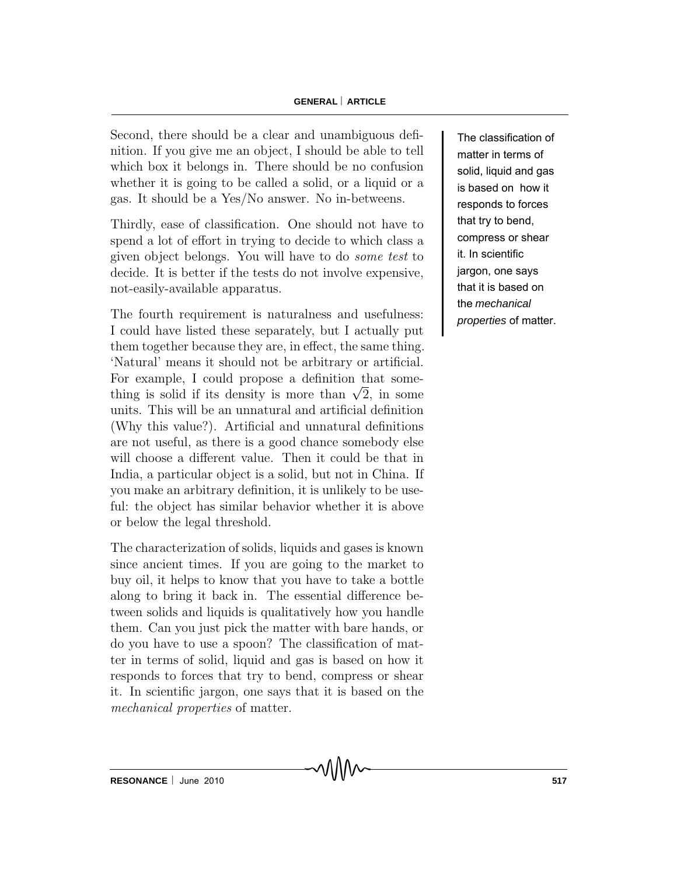Second, there should be a clear and unambiguous definition. If you give me an object, I should be able to tell which box it belongs in. There should be no confusion whether it is going to be called a solid, or a liquid or a gas. It should be a Yes/No answer. No in-betweens.

Thirdly, ease of classification. One should not have to spend a lot of effort in trying to decide to which class a given object belongs. You will have to do some test to decide. It is better if the tests do not involve expensive, not-easily-available apparatus.

The fourth requirement is naturalness and usefulness: I could have listed these separately, but I actually put them together because they are, in effect, the same thing. 'Natural' means it should not be arbitrary or artificial. For example, I could propose a definition that some-For example, I could propose a definition that some-<br>thing is solid if its density is more than  $\sqrt{2}$ , in some units. This will be an unnatural and artificial definition (Why this value?). Artificial and unnatural definitions are not useful, as there is a good chance somebody else will choose a different value. Then it could be that in India, a particular object is a solid, but not in China. If you make an arbitrary definition, it is unlikely to be useful: the object has similar behavior whether it is above or below the legal threshold.

The characterization of solids, liquids and gases is known since ancient times. If you are going to the market to buy oil, it helps to know that you have to take a bottle along to bring it back in. The essential difference between solids and liquids is qualitatively how you handle them. Can you just pick the matter with bare hands, or do you have to use a spoon? The classification of matter in terms of solid, liquid and gas is based on how it responds to forces that try to bend, compress or shear it. In scientific jargon, one says that it is based on the mechanical properties of matter.

The classification of matter in terms of solid, liquid and gas is based on how it responds to forces that try to bend, compress or shear it. In scientific jargon, one says that it is based on the *mechanical properties* of matter.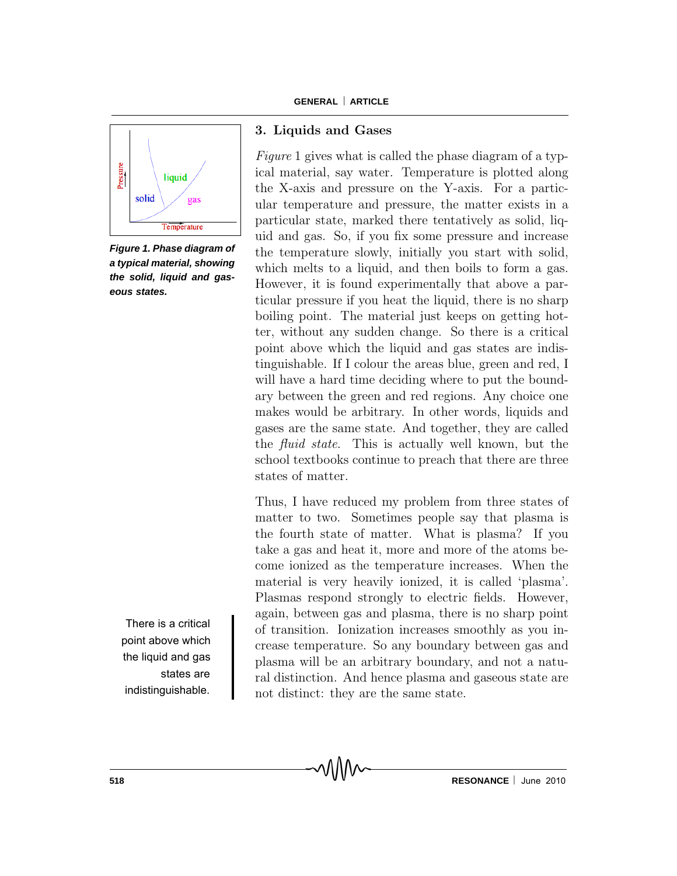

*Figure 1. Phase diagram of a typical material, showing the solid, liquid and gaseous states.*

There is a critical point above which the liquid and gas states are indistinguishable.

## 3. Liquids and Gases

Figure 1 gives what is called the phase diagram of a typical material, say water. Temperature is plotted along the X-axis and pressure on the Y-axis. For a particular temperature and pressure, the matter exists in a particular state, marked there tentatively as solid, liquid and gas. So, if you fix some pressure and increase the temperature slowly, initially you start with solid, which melts to a liquid, and then boils to form a gas. However, it is found experimentally that above a particular pressure if you heat the liquid, there is no sharp boiling point. The material just keeps on getting hotter, without any sudden change. So there is a critical point above which the liquid and gas states are indistinguishable. If I colour the areas blue, green and red, I will have a hard time deciding where to put the boundary between the green and red regions. Any choice one makes would be arbitrary. In other words, liquids and gases are the same state. And together, they are called the fluid state. This is actually well known, but the school textbooks continue to preach that there are three states of matter.

Thus, I have reduced my problem from three states of matter to two. Sometimes people say that plasma is the fourth state of matter. What is plasma? If you take a gas and heat it, more and more of the atoms become ionized as the temperature increases. When the material is very heavily ionized, it is called 'plasma'. Plasmas respond strongly to electric fields. However, again, between gas and plasma, there is no sharp point of transition. Ionization increases smoothly as you increase temperature. So any boundary between gas and plasma will be an arbitrary boundary, and not a natural distinction. And hence plasma and gaseous state are not distinct: they are the same state.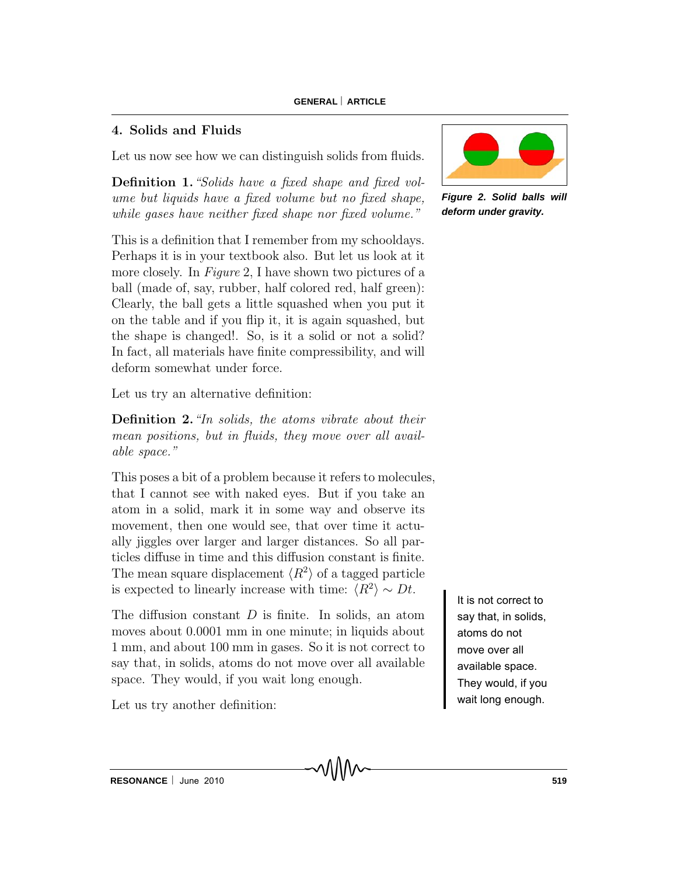# 4. Solids and Fluids

Let us now see how we can distinguish solids from fluids.

Definition 1."Solids have a fixed shape and fixed volume but liquids have a fixed volume but no fixed shape, while gases have neither fixed shape nor fixed volume."

This is a definition that I remember from my schooldays. Perhaps it is in your textbook also. But let us look at it more closely. In Figure 2, I have shown two pictures of a ball (made of, say, rubber, half colored red, half green): Clearly, the ball gets a little squashed when you put it on the table and if you flip it, it is again squashed, but the shape is changed!. So, is it a solid or not a solid? In fact, all materials have finite compressibility, and will deform somewhat under force.

Let us try an alternative definition:

Definition 2. "In solids, the atoms vibrate about their mean positions, but in fluids, they move over all available space."

This poses a bit of a problem because it refers to molecules, that I cannot see with naked eyes. But if you take an atom in a solid, mark it in some way and observe its movement, then one would see, that over time it actually jiggles over larger and larger distances. So all particles diffuse in time and this diffusion constant is finite. The mean square displacement  $\langle R^2 \rangle$  of a tagged particle is expected to linearly increase with time:  $\langle R^2 \rangle \sim Dt$ .

The diffusion constant  $D$  is finite. In solids, an atom moves about 0.0001 mm in one minute; in liquids about 1 mm, and about 100 mm in gases. So it is not correct to say that, in solids, atoms do not move over all available space. They would, if you wait long enough.

Let us try another definition:



*Figure 2. Solid balls will deform under gravity.*

It is not correct to say that, in solids, atoms do not move over all available space. They would, if you wait long enough.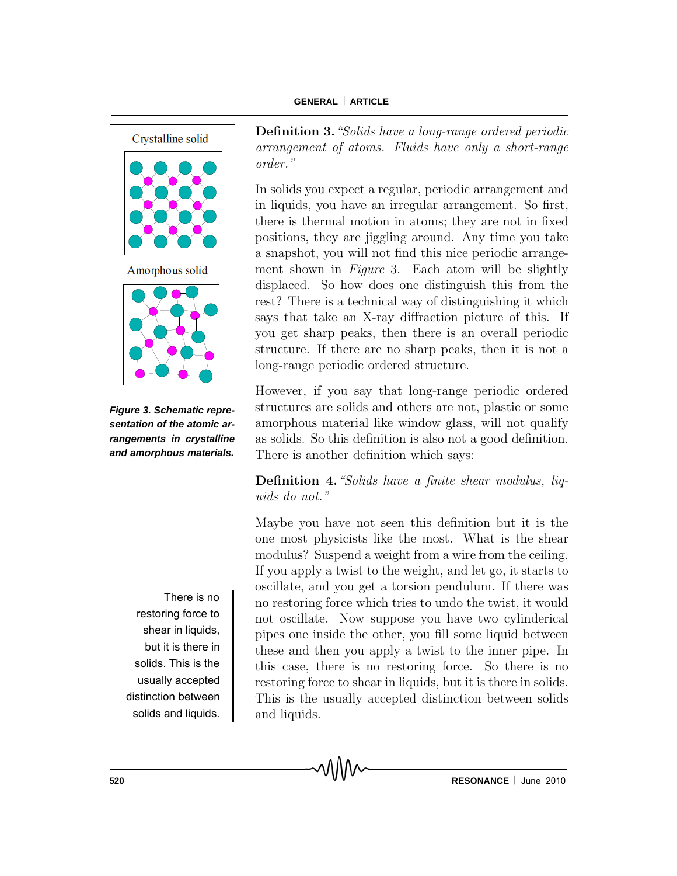

*Figure 3. Schematic representation of the atomic arrangements in crystalline and amorphous materials.*

There is no restoring force to shear in liquids, but it is there in solids. This is the usually accepted distinction between solids and liquids. Definition 3."Solids have a long-range ordered periodic arrangement of atoms. Fluids have only a short-range order."

In solids you expect a regular, periodic arrangement and in liquids, you have an irregular arrangement. So first, there is thermal motion in atoms; they are not in fixed positions, they are jiggling around. Any time you take a snapshot, you will not find this nice periodic arrangement shown in *Figure* 3. Each atom will be slightly displaced. So how does one distinguish this from the rest? There is a technical way of distinguishing it which says that take an X-ray diffraction picture of this. If you get sharp peaks, then there is an overall periodic structure. If there are no sharp peaks, then it is not a long-range periodic ordered structure.

However, if you say that long-range periodic ordered structures are solids and others are not, plastic or some amorphous material like window glass, will not qualify as solids. So this definition is also not a good definition. There is another definition which says:

Definition 4."Solids have a finite shear modulus, liquids do not."

Maybe you have not seen this definition but it is the one most physicists like the most. What is the shear modulus? Suspend a weight from a wire from the ceiling. If you apply a twist to the weight, and let go, it starts to oscillate, and you get a torsion pendulum. If there was no restoring force which tries to undo the twist, it would not oscillate. Now suppose you have two cylinderical pipes one inside the other, you fill some liquid between these and then you apply a twist to the inner pipe. In this case, there is no restoring force. So there is no restoring force to shear in liquids, but it is there in solids. This is the usually accepted distinction between solids and liquids.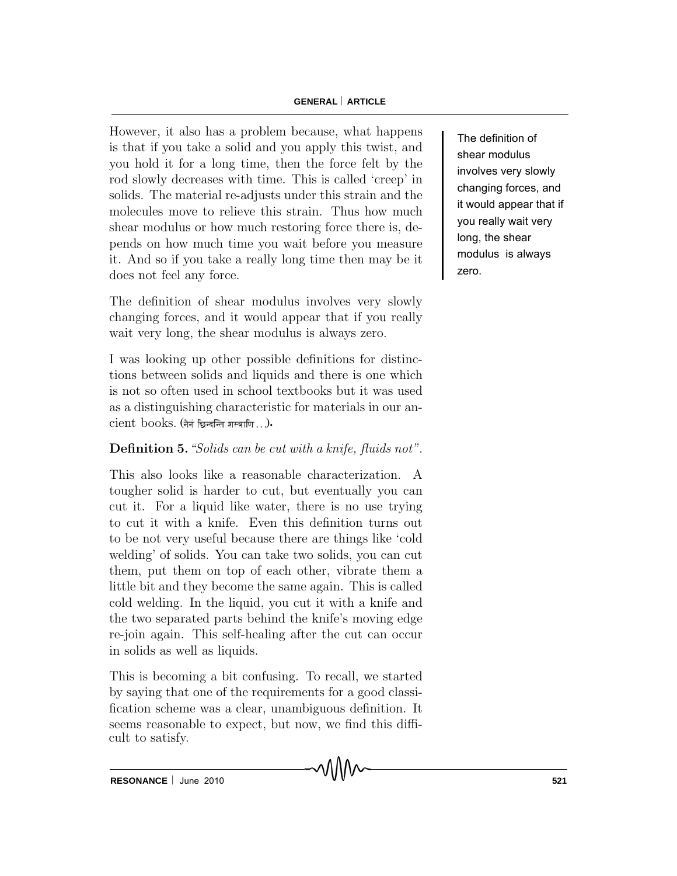#### **GENERAL ARTICLE**

However, it also has a problem because, what happens is that if you take a solid and you apply this twist, and you hold it for a long time, then the force felt by the rod slowly decreases with time. This is called 'creep' in solids. The material re-adjusts under this strain and the molecules move to relieve this strain. Thus how much shear modulus or how much restoring force there is, depends on how much time you wait before you measure it. And so if you take a really long time then may be it does not feel any force.

The definition of shear modulus involves very slowly changing forces, and it would appear that if you really wait very long, the shear modulus is always zero.

 $\operatorname{cient}$  books. (नैनं छिन्दन्ति शस्त्राणि .. .)**.** I was looking up other possible definitions for distinctions between solids and liquids and there is one which is not so often used in school textbooks but it was used as a distinguishing characteristic for materials in our an-

## Definition 5. "Solids can be cut with a knife, fluids not".

This also looks like a reasonable characterization. A tougher solid is harder to cut, but eventually you can cut it. For a liquid like water, there is no use trying to cut it with a knife. Even this definition turns out to be not very useful because there are things like 'cold welding' of solids. You can take two solids, you can cut them, put them on top of each other, vibrate them a little bit and they become the same again. This is called cold welding. In the liquid, you cut it with a knife and the two separated parts behind the knife's moving edge re-join again. This self-healing after the cut can occur in solids as well as liquids.

This is becoming a bit confusing. To recall, we started by saying that one of the requirements for a good classification scheme was a clear, unambiguous definition. It seems reasonable to expect, but now, we find this difficult to satisfy.

The definition of shear modulus involves very slowly changing forces, and it would appear that if you really wait very long, the shear modulus is always zero.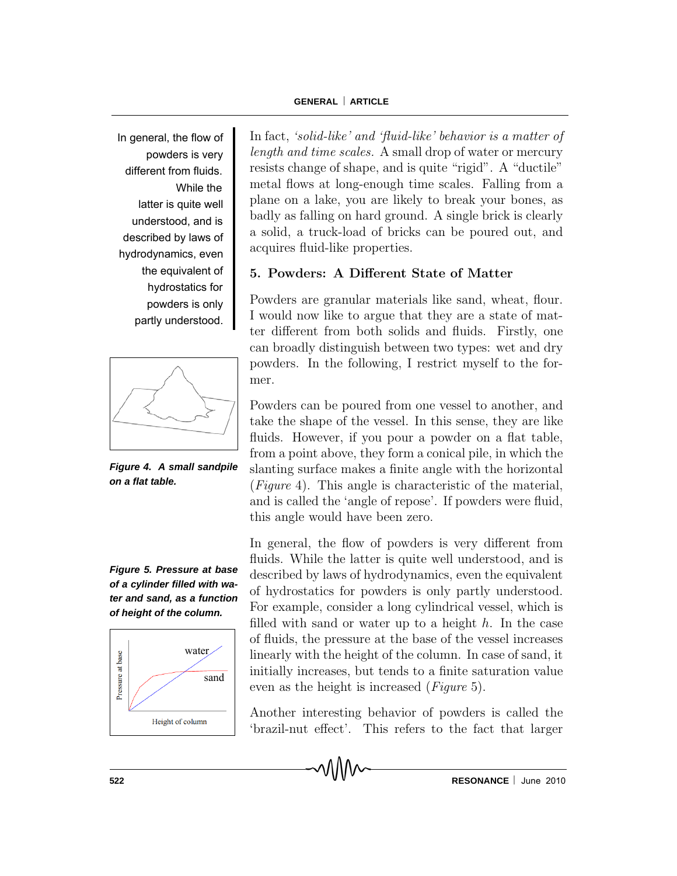In general, the flow of powders is very different from fluids. While the latter is quite well understood, and is described by laws of hydrodynamics, even the equivalent of hydrostatics for powders is only partly understood.



*Figure 4. A small sandpile on a flat table.*

*Figure 5. Pressure at base of a cylinder filled with water and sand, as a function of height of the column.*



In fact, 'solid-like' and 'fluid-like' behavior is a matter of length and time scales. A small drop of water or mercury resists change of shape, and is quite "rigid". A "ductile" metal flows at long-enough time scales. Falling from a plane on a lake, you are likely to break your bones, as badly as falling on hard ground. A single brick is clearly a solid, a truck-load of bricks can be poured out, and acquires fluid-like properties.

## 5. Powders: A Different State of Matter

Powders are granular materials like sand, wheat, flour. I would now like to argue that they are a state of matter different from both solids and fluids. Firstly, one can broadly distinguish between two types: wet and dry powders. In the following, I restrict myself to the former.

Powders can be poured from one vessel to another, and take the shape of the vessel. In this sense, they are like fluids. However, if you pour a powder on a flat table, from a point above, they form a conical pile, in which the slanting surface makes a finite angle with the horizontal (Figure 4). This angle is characteristic of the material, and is called the 'angle of repose'. If powders were fluid, this angle would have been zero.

In general, the flow of powders is very different from fluids. While the latter is quite well understood, and is described by laws of hydrodynamics, even the equivalent of hydrostatics for powders is only partly understood. For example, consider a long cylindrical vessel, which is filled with sand or water up to a height  $h$ . In the case of fluids, the pressure at the base of the vessel increases linearly with the height of the column. In case of sand, it initially increases, but tends to a finite saturation value even as the height is increased (Figure 5).

Another interesting behavior of powders is called the 'brazil-nut effect'. This refers to the fact that larger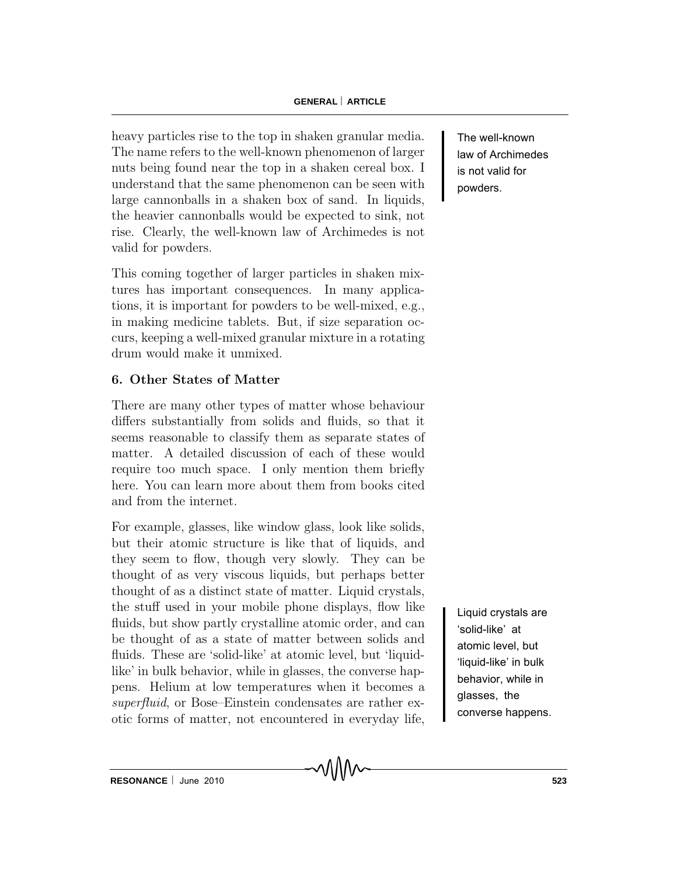heavy particles rise to the top in shaken granular media. The name refers to the well-known phenomenon of larger nuts being found near the top in a shaken cereal box. I understand that the same phenomenon can be seen with large cannonballs in a shaken box of sand. In liquids, the heavier cannonballs would be expected to sink, not rise. Clearly, the well-known law of Archimedes is not valid for powders.

This coming together of larger particles in shaken mixtures has important consequences. In many applications, it is important for powders to be well-mixed, e.g., in making medicine tablets. But, if size separation occurs, keeping a well-mixed granular mixture in a rotating drum would make it unmixed.

# 6. Other States of Matter

There are many other types of matter whose behaviour differs substantially from solids and fluids, so that it seems reasonable to classify them as separate states of matter. A detailed discussion of each of these would require too much space. I only mention them briefly here. You can learn more about them from books cited and from the internet.

For example, glasses, like window glass, look like solids, but their atomic structure is like that of liquids, and they seem to flow, though very slowly. They can be thought of as very viscous liquids, but perhaps better thought of as a distinct state of matter. Liquid crystals, the stuff used in your mobile phone displays, flow like fluids, but show partly crystalline atomic order, and can be thought of as a state of matter between solids and fluids. These are 'solid-like' at atomic level, but 'liquidlike' in bulk behavior, while in glasses, the converse happens. Helium at low temperatures when it becomes a superfluid, or Bose–Einstein condensates are rather exotic forms of matter, not encountered in everyday life,

The well-known law of Archimedes is not valid for powders.

Liquid crystals are 'solid-like' at atomic level, but 'liquid-like' in bulk behavior, while in glasses, the converse happens.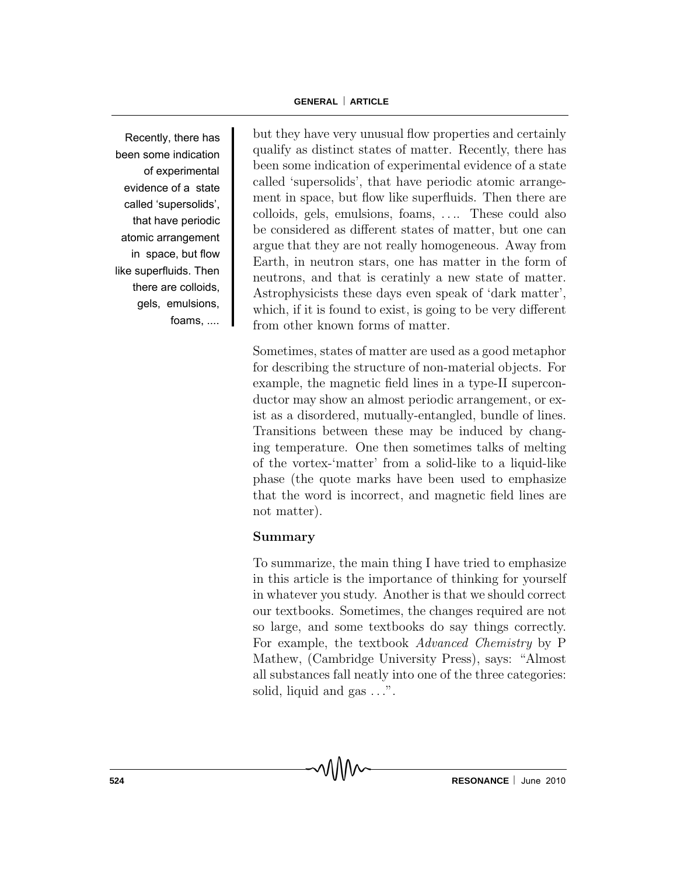Recently, there has been some indication of experimental evidence of a state called 'supersolids', that have periodic atomic arrangement in space, but flow like superfluids. Then there are colloids, gels, emulsions, foams, ....

but they have very unusual flow properties and certainly qualify as distinct states of matter. Recently, there has been some indication of experimental evidence of a state called 'supersolids', that have periodic atomic arrangement in space, but flow like superfluids. Then there are colloids, gels, emulsions, foams, . . .. These could also be considered as different states of matter, but one can argue that they are not really homogeneous. Away from Earth, in neutron stars, one has matter in the form of neutrons, and that is ceratinly a new state of matter. Astrophysicists these days even speak of 'dark matter', which, if it is found to exist, is going to be very different from other known forms of matter.

Sometimes, states of matter are used as a good metaphor for describing the structure of non-material objects. For example, the magnetic field lines in a type-II superconductor may show an almost periodic arrangement, or exist as a disordered, mutually-entangled, bundle of lines. Transitions between these may be induced by changing temperature. One then sometimes talks of melting of the vortex-'matter' from a solid-like to a liquid-like phase (the quote marks have been used to emphasize that the word is incorrect, and magnetic field lines are not matter).

#### Summary

To summarize, the main thing I have tried to emphasize in this article is the importance of thinking for yourself in whatever you study. Another is that we should correct our textbooks. Sometimes, the changes required are not so large, and some textbooks do say things correctly. For example, the textbook Advanced Chemistry by P Mathew, (Cambridge University Press), says: "Almost all substances fall neatly into one of the three categories: solid, liquid and gas  $\dots$ ".